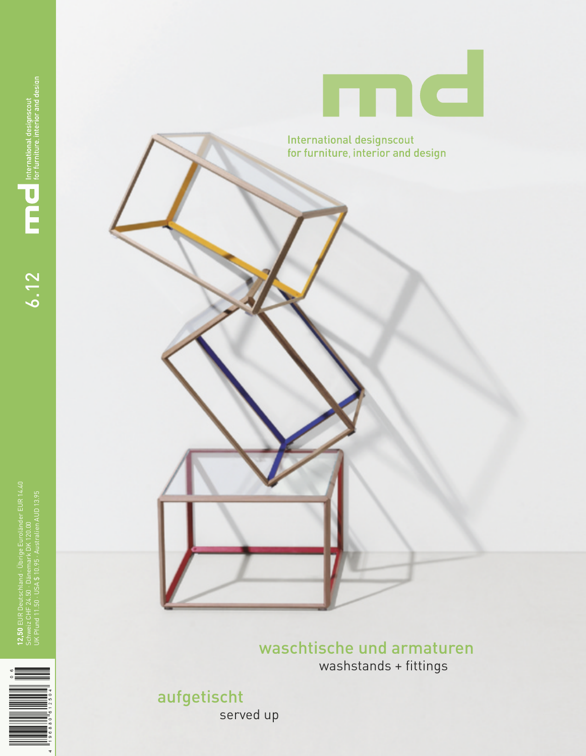

waschtische und armaturen washstands + fittings

aufgetischt

served up